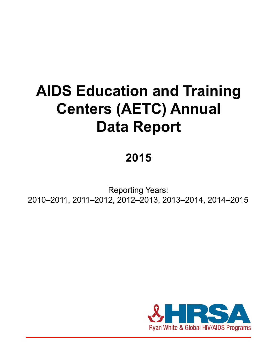# **AIDS Education and Training Centers (AETC) Annual Data Report**

### **2015**

Reporting Years: 2010–2011, 2011–2012, 2012–2013, 2013–2014, 2014–2015

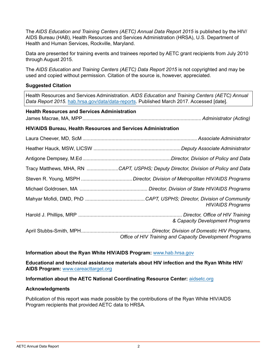The *AIDS Education and Training Centers (AETC) Annual Data Report 2015* is published by the HIV/ AIDS Bureau (HAB), Health Resources and Services Administration (HRSA), U.S. Department of Health and Human Services, Rockville, Maryland.

Data are presented for training events and trainees reported by AETC grant recipients from July 2010 through August 2015.

The *AIDS Education and Training Centers (AETC) Data Report 2015* is not copyrighted and may be used and copied without permission. Citation of the source is, however, appreciated.

#### **Suggested Citation**

Health Resources and Services Administration. *AIDS Education and Training Centers (AETC) Annual Data Report 2015*. [hab.hrsa.gov/data/data-reports](http://hab.hrsa.gov/data/data-reports). Published March 2017. Accessed [date].

### **Health Resources and Services Administration** James Macrae, MA, MPP...................................................................................... *Administrator (Acting)* **HIV/AIDS Bureau, Health Resources and Services Administration** Laura Cheever, MD, ScM ...................................................................................*Associate Administrator* Heather Hauck, MSW, LICSW ...............................................................*Deputy Associate Administrator* Antigone Dempsey, M.Ed................................................................*Director, Division of Policy and Data* Tracy Matthews, MHA, RN .......................*CAPT, USPHS; Deputy Director, Division of Policy and Data* Steven R. Young, MSPH .....................................*Director, Division of Metropolitan HIV/AIDS Programs* Michael Goldrosen, MA ................................................. *Director, Division of State HIV/AIDS Programs* Mahyar Mofidi, DMD, PhD ...........................................*CAPT, USPHS; Director, Division of Community ..................................................................................................................................HIV/AIDS Programs* Harold J. Phillips, MRP ........................................................................... *Director, Office of HIV Training ..........................................................................................................& Capacity Development Programs* April Stubbs-Smith, MPH...................................................*Director, Division of Domestic HIV Programs, Office of HIV Training and Capacity Development Programs*

#### **Information about the Ryan White HIV/AIDS Program:** www.hab.hrsa.gov

**Educational and technical assistance materials about HIV infection and the Ryan White HIV/ AIDS Program:** www.careacttarget.org

**Information about the AETC National Coordinating Resource Center:** [aidsetc.org](http://aidsetc.org)

#### **Acknowledgments**

Publication of this report was made possible by the contributions of the Ryan White HIV/AIDS Program recipients that provided AETC data to HRSA.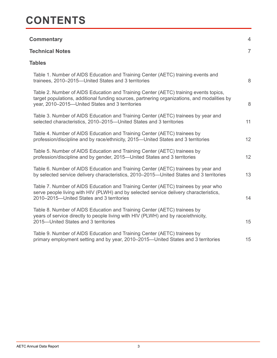### **CONTENTS**

| <b>Commentary</b>                                                                                                                                                                                                                      | $\overline{4}$ |
|----------------------------------------------------------------------------------------------------------------------------------------------------------------------------------------------------------------------------------------|----------------|
| <b>Technical Notes</b>                                                                                                                                                                                                                 | $\overline{7}$ |
| <b>Tables</b>                                                                                                                                                                                                                          |                |
| Table 1. Number of AIDS Education and Training Center (AETC) training events and<br>trainees, 2010–2015–United States and 3 territories                                                                                                | 8              |
| Table 2. Number of AIDS Education and Training Center (AETC) training events topics,<br>target populations, additional funding sources, partnering organizations, and modalities by<br>year, 2010-2015-United States and 3 territories | $8\,$          |
| Table 3. Number of AIDS Education and Training Center (AETC) trainees by year and<br>selected characteristics, 2010-2015-United States and 3 territories                                                                               | 11             |
| Table 4. Number of AIDS Education and Training Center (AETC) trainees by<br>profession/discipline and by race/ethnicity, 2015-United States and 3 territories                                                                          | 12             |
| Table 5. Number of AIDS Education and Training Center (AETC) trainees by<br>profession/discipline and by gender, 2015—United States and 3 territories                                                                                  | 12             |
| Table 6. Number of AIDS Education and Training Center (AETC) trainees by year and<br>by selected service delivery characteristics, 2010-2015-United States and 3 territories                                                           | 13             |
| Table 7. Number of AIDS Education and Training Center (AETC) trainees by year who<br>serve people living with HIV (PLWH) and by selected service delivery characteristics,<br>2010-2015-United States and 3 territories                | 14             |
| Table 8. Number of AIDS Education and Training Center (AETC) trainees by<br>years of service directly to people living with HIV (PLWH) and by race/ethnicity,<br>2015-United States and 3 territories                                  | 15             |
| Table 9. Number of AIDS Education and Training Center (AETC) trainees by<br>primary employment setting and by year, 2010–2015–United States and 3 territories                                                                          | 15             |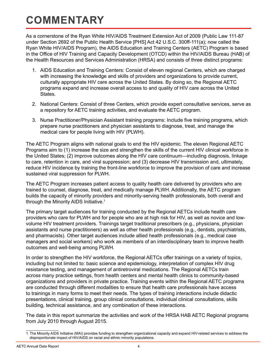## **COMMENTARY**

As a cornerstone of the Ryan White HIV/AIDS Treatment Extension Act of 2009 (Public Law 111-87 under Section 2692 of the Public Health Service [PHS] Act 42 U.S.C. 300ff-111(a); now called the Ryan White HIV/AIDS Program), the AIDS Education and Training Centers (AETC) Program is based in the Office of HIV Training and Capacity Development (OTCD) within the HIV/AIDS Bureau (HAB) of the Health Resources and Services Administration (HRSA) and consists of three distinct programs:

- 1. AIDS Education and Training Centers: Consist of eleven regional Centers, which are charged with increasing the knowledge and skills of providers and organizations to provide current, culturally appropriate HIV care across the United States. By doing so, the Regional AETC programs expand and increase overall access to and quality of HIV care across the United States.
- 2. National Centers: Consist of three Centers, which provide expert consultative services, serve as a repository for AETC training activities, and evaluate the AETC program.
- 3. Nurse Practitioner/Physician Assistant training programs: Include five training programs, which prepare nurse practitioners and physician assistants to diagnose, treat, and manage the medical care for people living with HIV (PLWH).

The AETC Program aligns with national goals to end the HIV epidemic. The eleven Regional AETC Programs aim to (1) increase the size and strengthen the skills of the current HIV clinical workforce in the United States; (2) improve outcomes along the HIV care continuum—including diagnosis, linkage to care, retention in care, and viral suppression; and (3) decrease HIV transmission and, ultimately, reduce HIV incidence by training the front-line workforce to improve the provision of care and increase sustained viral suppression for PLWH.

The AETC Program increases patient access to quality health care delivered by providers who are trained to counsel, diagnose, treat, and medically manage PLWH. Additionally, the AETC program builds the capacity of minority providers and minority-serving health professionals, both overall and through the Minority AIDS Initiative. $1$ 

The primary target audiences for training conducted by the Regional AETCs include health care providers who care for PLWH and for people who are at high risk for HIV, as well as novice and lowvolume HIV treatment providers. Trainings target traditional prescribers (e.g., physicians, physician assistants and nurse practitioners) as well as other health professionals (e.g., dentists, psychiatrists, and pharmacists). Other target audiences include allied health professionals (e.g., medical case managers and social workers) who work as members of an interdisciplinary team to improve health outcomes and well-being among PLWH.

In order to strengthen the HIV workforce, the Regional AETCs offer trainings on a variety of topics, including but not limited to: basic science and epidemiology, interpretation of complex HIV drug resistance testing, and management of antiretroviral medications. The Regional AETCs train across many practice settings, from health centers and mental health clinics to community-based organizations and providers in private practice. Training events within the Regional AETC programs are conducted through different modalities to ensure that health care professionals have access to trainings in many forms to meet their needs. The types of training interactions include didactic presentations, clinical training, group clinical consultations, individual clinical consultations, skills building, technical assistance, and any combination of these interactions.

The data in this report summarize the activities and work of the HRSA HAB AETC Regional programs from July 2010 through August 2015.

<sup>1</sup> The Minority AIDS Initiative (MAI) provides funding to strengthen organizational capacity and expand HIV-related services to address the disproportionate impact of HIV/AIDS on racial and ethnic minority populations.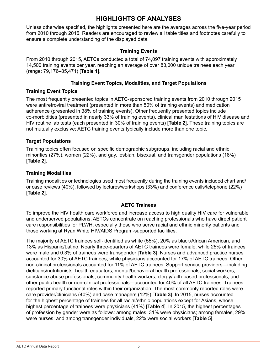### **HIGHLIGHTS OF ANALYSES**

Unless otherwise specified, the highlights presented here are the averages across the five-year period from 2010 through 2015. Readers are encouraged to review all table titles and footnotes carefully to ensure a complete understanding of the displayed data.

#### **Training Events**

From 2010 through 2015, AETCs conducted a total of 74,097 training events with approximately 14,500 training events per year, reaching an average of over 83,000 unique trainees each year (range: 79,176–85,471) [**Table 1**].

#### **Training Event Topics, Modalities, and Target Populations**

#### **Training Event Topics**

The most frequently presented topics in AETC-sponsored training events from 2010 through 2015 were antiretroviral treatment (presented in more than 50% of training events) and medication adherence (presented in 38% of training events). Other frequently presented topics include co-morbidities (presented in nearly 33% of training events), clinical manifestations of HIV disease and HIV routine lab tests (each presented in 30% of training events) [**Table 2**]. These training topics are not mutually exclusive; AETC training events typically include more than one topic.

#### **Target Populations**

Training topics often focused on specific demographic subgroups, including racial and ethnic minorities (27%), women (22%), and gay, lesbian, bisexual, and transgender populations (18%) [**Table 2**].

#### **Training Modalities**

Training modalities or technologies used most frequently during the training events included chart and/ or case reviews (40%), followed by lectures/workshops (33%) and conference calls/telephone (22%) [**Table 2**].

#### **AETC Trainees**

To improve the HIV health care workforce and increase access to high quality HIV care for vulnerable and underserved populations, AETCs concentrate on reaching professionals who have direct patient care responsibilities for PLWH, especially those who serve racial and ethnic minority patients and those working at Ryan White HIV/AIDS Program-supported facilities.

The majority of AETC trainees self-identified as white (55%), 20% as black/African American, and 13% as Hispanic/Latino. Nearly three-quarters of AETC trainees were female, while 25% of trainees were male and 0.3% of trainees were transgender [**Table 3**]. Nurses and advanced practice nurses accounted for 30% of AETC trainees, while physicians accounted for 17% of AETC trainees. Other non-clinical professionals accounted for 11% of AETC trainees. Support service providers—including dietitians/nutritionists, health educators, mental/behavioral health professionals, social workers, substance abuse professionals, community health workers, clergy/faith-based professionals, and other public health or non-clinical professionals—accounted for 40% of all AETC trainees. Trainees reported primary functional roles within their organization. The most commonly reported roles were care provider/clinicians (40%) and case managers (12%) [**Table 3**]. In 2015, nurses accounted for the highest percentage of trainees for all racial/ethnic populations except for Asians, whose highest percentage of trainees were physicians (41%) [**Table 4**]. In 2015, the highest percentages of profession by gender were as follows: among males, 31% were physicians; among females, 29% were nurses; and among transgender individuals, 22% were social workers [**Table 5**].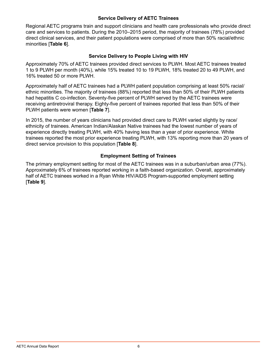#### **Service Delivery of AETC Trainees**

Regional AETC programs train and support clinicians and health care professionals who provide direct care and services to patients. During the 2010–2015 period, the majority of trainees (78%) provided direct clinical services, and their patient populations were comprised of more than 50% racial/ethnic minorities [**Table 6**].

#### **Service Delivery to People Living with HIV**

Approximately 70% of AETC trainees provided direct services to PLWH. Most AETC trainees treated 1 to 9 PLWH per month (40%), while 15% treated 10 to 19 PLWH, 18% treated 20 to 49 PLWH, and 16% treated 50 or more PLWH.

Approximately half of AETC trainees had a PLWH patient population comprising at least 50% racial/ ethnic minorities. The majority of trainees (88%) reported that less than 50% of their PLWH patients had hepatitis C co-infection. Seventy-five percent of PLWH served by the AETC trainees were receiving antiretroviral therapy. Eighty-five percent of trainees reported that less than 50% of their PLWH patients were women [**Table 7**].

In 2015, the number of years clinicians had provided direct care to PLWH varied slightly by race/ ethnicity of trainees. American Indian/Alaskan Native trainees had the lowest number of years of experience directly treating PLWH, with 40% having less than a year of prior experience. White trainees reported the most prior experience treating PLWH, with 13% reporting more than 20 years of direct service provision to this population [**Table 8**].

#### **Employment Setting of Trainees**

The primary employment setting for most of the AETC trainees was in a suburban/urban area (77%). Approximately 6% of trainees reported working in a faith-based organization. Overall, approximately half of AETC trainees worked in a Ryan White HIV/AIDS Program-supported employment setting [**Table 9**].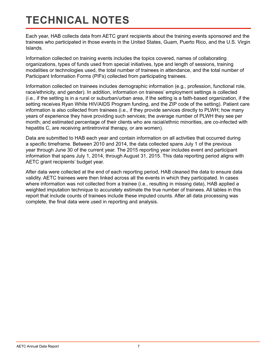# **TECHNICAL NOTES**

Each year, HAB collects data from AETC grant recipients about the training events sponsored and the trainees who participated in those events in the United States, Guam, Puerto Rico, and the U.S. Virgin Islands.

Information collected on training events includes the topics covered, names of collaborating organizations, types of funds used from special initiatives, type and length of sessions, training modalities or technologies used, the total number of trainees in attendance, and the total number of Participant Information Forms (PIFs) collected from participating trainees.

Information collected on trainees includes demographic information (e.g., profession, functional role, race/ethnicity, and gender). In addition, information on trainees' employment settings is collected (i.e., if the setting is in a rural or suburban/urban area, if the setting is a faith-based organization, if the setting receives Ryan White HIV/AIDS Program funding, and the ZIP code of the setting). Patient care information is also collected from trainees (i.e., if they provide services directly to PLWH; how many years of experience they have providing such services; the average number of PLWH they see per month; and estimated percentage of their clients who are racial/ethnic minorities, are co-infected with hepatitis C, are receiving antiretroviral therapy, or are women).

Data are submitted to HAB each year and contain information on all activities that occurred during a specific timeframe. Between 2010 and 2014, the data collected spans July 1 of the previous year through June 30 of the current year. The 2015 reporting year includes event and participant information that spans July 1, 2014, through August 31, 2015. This data reporting period aligns with AETC grant recipients' budget year.

After data were collected at the end of each reporting period, HAB cleaned the data to ensure data validity. AETC trainees were then linked across all the events in which they participated. In cases where information was not collected from a trainee (i.e., resulting in missing data), HAB applied a weighted imputation technique to accurately estimate the true number of trainees. All tables in this report that include counts of trainees include these imputed counts. After all data processing was complete, the final data were used in reporting and analysis.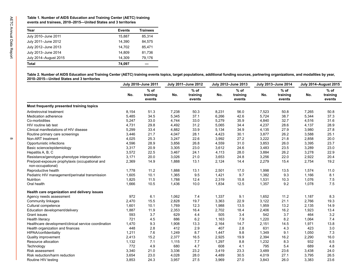| Year                  | <b>Events</b> | <b>Trainees</b> |
|-----------------------|---------------|-----------------|
| July 2010-June 2011   | 15.887        | 85.314          |
| July 2011-June 2012   | 14.390        | 84.575          |
| July 2012-June 2013   | 14.702        | 85.471          |
| July 2013-June 2014   | 14.809        | 81.736          |
| July 2014-August 2015 | 14.309        | 79,176          |
| Total                 | 74,097        |                 |

| Year                                                                                                                                                                                                                                | <b>Events</b> | <b>Trainees</b>              |       |                              |       |                              |       |                              |                              |                              |
|-------------------------------------------------------------------------------------------------------------------------------------------------------------------------------------------------------------------------------------|---------------|------------------------------|-------|------------------------------|-------|------------------------------|-------|------------------------------|------------------------------|------------------------------|
| July 2010-June 2011                                                                                                                                                                                                                 | 15,887        | 85,314                       |       |                              |       |                              |       |                              |                              |                              |
| July 2011-June 2012                                                                                                                                                                                                                 | 14,390        | 84,575                       |       |                              |       |                              |       |                              |                              |                              |
| July 2012-June 2013                                                                                                                                                                                                                 | 14,702        | 85,471                       |       |                              |       |                              |       |                              |                              |                              |
|                                                                                                                                                                                                                                     |               |                              |       |                              |       |                              |       |                              |                              |                              |
| July 2013-June 2014                                                                                                                                                                                                                 | 14,809        | 81,736                       |       |                              |       |                              |       |                              |                              |                              |
| July 2014-August 2015                                                                                                                                                                                                               | 14,309        | 79,176                       |       |                              |       |                              |       |                              |                              |                              |
| <b>Total</b>                                                                                                                                                                                                                        | 74,097        | $\overline{\phantom{m}}$     |       |                              |       |                              |       |                              |                              |                              |
| Table 2. Number of AIDS Education and Training Center (AETC) training events topics, target populations, additional funding sources, partnering organizations, and modalities by year,<br>2010-2015-United States and 3 territories |               |                              |       |                              |       |                              |       |                              |                              |                              |
|                                                                                                                                                                                                                                     |               | July 2010-June 2011          |       | July 2011-June 2012          |       | July 2012-June 2013          |       | July 2013-June 2014          | <b>July 2014-August 2015</b> |                              |
|                                                                                                                                                                                                                                     | No.           | $%$ of<br>training<br>events | No.   | $%$ of<br>training<br>events | No.   | $%$ of<br>training<br>events | No.   | $%$ of<br>training<br>events | No.                          | $%$ of<br>training<br>events |
| Most frequently presented training topics                                                                                                                                                                                           |               |                              |       |                              |       |                              |       |                              |                              |                              |
| Antiretroviral treatment                                                                                                                                                                                                            | 8,154         | 51.3                         | 7,238 | 50.3                         | 8,231 | 56.0                         | 7,523 | 50.8                         | 7,265                        | 50.8                         |
| Medication adherence                                                                                                                                                                                                                | 5,485         | 34.5                         | 5,345 | 37.1                         | 6,266 | 42.6                         | 5,724 | 38.7                         | 5,344                        | 37.3                         |
| Co-morbidities                                                                                                                                                                                                                      | 5,247         | 33.0                         | 4,744 | 33.0                         | 5,279 | 35.9                         | 4,840 | 32.7                         | 4,516                        | 31.6                         |
| HIV routine lab test                                                                                                                                                                                                                | 4,731         | 29.8                         | 4,492 | 31.2                         | 5,065 | 34.4                         | 4,237 | 28.6                         | 4,137                        | 28.9                         |
| Clinical manifestations of HIV disease                                                                                                                                                                                              | 5,299         | 33.4                         | 4,882 | 33.9                         | 5,134 | 34.9                         | 4,135 | 27.9                         | 3,980                        | 27.8                         |
| Routine primary care screenings                                                                                                                                                                                                     | 3,446         | 21.7                         | 4,047 | 28.1                         | 4,423 | 30.1                         | 3,877 | 26.2                         | 3,588                        | 25.1                         |
| Non-ART treatment                                                                                                                                                                                                                   | 4,025         | 25.3                         | 3,247 | 22.6                         | 3,992 | 27.2                         | 3,222 | 21.8                         | 2,858                        | 20.0                         |
| Opportunistic infections                                                                                                                                                                                                            | 4,596         | 28.9                         | 3,856 | 26.8                         | 4,559 | 31.0                         | 3,853 | 26.0                         | 3,395                        | 23.7                         |
| Basic science/epidemiology                                                                                                                                                                                                          | 3,317         | 20.9                         | 3,305 | 23.0                         | 3,612 | 24.6                         | 3,483 | 23.5                         | 3,289                        | 23.0                         |
| Hepatitis A, B, C                                                                                                                                                                                                                   | 3,572         | 22.5                         | 3,467 | 24.1                         | 4,113 | 28.0                         | 3,884 | 26.2                         | 3,278                        | 22.9                         |
| Resistance/genotype-phenotype interpretation                                                                                                                                                                                        | 3,171         | 20.0                         | 3,026 | 21.0                         | 3,653 | 24.8                         | 3,256 | 22.0                         | 2,922                        | 20.4                         |
| Pre/post-exposure prophylaxis (occupational and<br>non-occupational)                                                                                                                                                                | 2,369         | 14.9                         | 1,888 | 13.1                         | 2,124 | 14.4                         | 2,279 | 15.4                         | 2,754                        | 19.2                         |
| Reproductive health                                                                                                                                                                                                                 | 1,778         | 11.2                         | 1,888 | 13.1                         | 2,501 | 17.0                         | 1,998 | 13.5                         | 1,574                        | 11.0                         |
| Pediatric HIV management/perinatal transmission                                                                                                                                                                                     | 1,605         | 10.1                         | 1,365 | 9.5                          | 1,421 | 9.7                          | 1,382 | 9.3                          | 1,166                        | 8.1                          |
| Nutrition                                                                                                                                                                                                                           | 1,825         | 11.5                         | 1,788 | 12.4                         | 2,319 | 15.8                         | 1,531 | 10.3                         | 1,076                        | 7.5                          |
| Oral health                                                                                                                                                                                                                         | 1,666         | 10.5                         | 1,436 | 10.0                         | 1,834 | 12.5                         | 1,357 | 9.2                          | 1,078                        | 7.5                          |
| Health care organization and delivery issues                                                                                                                                                                                        |               |                              |       |                              |       |                              |       |                              |                              |                              |
| Agency needs assessment                                                                                                                                                                                                             | 972           | 6.1                          | 1,062 | 7.4                          | 1,337 | 9.1                          | 1,652 | 11.2                         | 1,187                        | 8.3                          |
| Community linkages                                                                                                                                                                                                                  | 2,470         | 15.5                         | 2,828 | 19.7                         | 3,363 | 22.9                         | 3,122 | 21.1                         | 2,766                        | 19.3                         |
| Cultural competence                                                                                                                                                                                                                 | 1,601         | 10.1                         | 1,769 | 12.3                         | 1,988 | 13.5                         | 1,959 | 13.2                         | 2,135                        | 14.9                         |
| Education development/delivery                                                                                                                                                                                                      | 1,887         | 11.9                         | 2,353 | 16.4                         | 2,702 | 18.4                         | 2,406 | 16.2                         | 1,923                        | 13.4                         |
| Grant issues                                                                                                                                                                                                                        | 593           | 3.7                          | 629   | 4.4                          | 505   | 3.4                          | 542   | 3.7                          | 464                          | 3.2                          |
| Health literacy                                                                                                                                                                                                                     | 721           | 4.5                          | 886   | $6.2\,$                      | 1,163 | 7.9                          | 1,220 | 8.2                          | 1,064                        | 7.4                          |
| Healthcare development/clinical service coordination                                                                                                                                                                                | 1,470         | 9.3                          | 1,908 | 13.3                         | 2,164 | 14.7                         | 2,151 | 14.5                         | 1,971                        | 13.8                         |
| Health organization and finances                                                                                                                                                                                                    | 448           | 2.8                          | 412   | 2.9                          | 407   | 2.8                          | 631   | 4.3                          | 423                          | 3.0                          |
| HIPAA/confidentiality                                                                                                                                                                                                               | 1,211         | 7.6                          | 1,249 | 8.7                          | 1,447 | 9.8                          | 1,349 | 9.1                          | 1,050                        | 7.3                          |
| Quality improvement                                                                                                                                                                                                                 | 2,413         | 15.2                         | 2,377 | 16.5                         | 2,925 | 19.9                         | 2,394 | 16.2                         | 2,290                        | 16.0                         |
| Resource allocation                                                                                                                                                                                                                 | 1,132         | 7.1                          | 1,115 | 7.7                          | 1,297 | 8.8                          | 1,232 | 8.3                          | 932                          | 6.5                          |
| Technology                                                                                                                                                                                                                          | 772           | 4.9                          | 680   | 4.7                          | 608   | 4.1                          | 795   | 5.4                          | 689                          | 4.8                          |
| Risk assessment                                                                                                                                                                                                                     | 3,340         | 21.0                         | 3,336 | 23.2                         | 3,419 | 23.3                         | 3,489 | 23.6                         | 3,438                        | 24.0                         |
| Risk reduction/harm reduction                                                                                                                                                                                                       | 3,654         | 23.0                         | 4,028 | 28.0                         | 4,489 | 30.5                         | 4,019 | 27.1                         | 3,795                        | 26.5                         |
|                                                                                                                                                                                                                                     |               |                              |       | 27.5                         |       |                              |       |                              | 3,383                        |                              |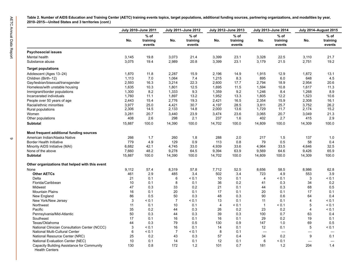|                                                                                                                                                                                        |                                        | July 2010-June 2011                 |                                        | July 2011-June 2012                 |                                        | July 2012-June 2013                 |                                       | July 2013-June 2014                 |                                       | <b>July 2014-August 2015</b>        |
|----------------------------------------------------------------------------------------------------------------------------------------------------------------------------------------|----------------------------------------|-------------------------------------|----------------------------------------|-------------------------------------|----------------------------------------|-------------------------------------|---------------------------------------|-------------------------------------|---------------------------------------|-------------------------------------|
|                                                                                                                                                                                        | No.                                    | $%$ of<br>training<br>events        | No.                                    | $%$ of<br>training<br>events        | No.                                    | $%$ of<br>training<br>events        | No.                                   | $%$ of<br>training<br>events        | No.                                   | $%$ of<br>training<br>events        |
| <b>Psychosocial issues</b>                                                                                                                                                             |                                        |                                     |                                        |                                     |                                        |                                     |                                       |                                     |                                       |                                     |
| Mental health                                                                                                                                                                          | 3,145                                  | 19.8                                | 3,073                                  | 21.4                                | 3,399                                  | 23.1                                | 3,328                                 | 22.5                                | 3,110                                 | 21.7                                |
| Substance abuse                                                                                                                                                                        | 3,075                                  | 19.4                                | 2,989                                  | 20.8                                | 3,399                                  | 23.1                                | 3,179                                 | 21.5                                | 2,751                                 | 19.2                                |
| <b>Target populations</b>                                                                                                                                                              |                                        |                                     |                                        |                                     |                                        |                                     |                                       |                                     |                                       |                                     |
| Adolescent (Ages 13-24)                                                                                                                                                                | 1,870                                  | 11.8                                | 2,287                                  | 15.9                                | 2,196                                  | 14.9                                | 1,915                                 | 12.9                                | 1,872                                 | 13.1                                |
| Children (Birth-12)                                                                                                                                                                    | 1,113                                  | 7.0                                 | 1,064                                  | 7.4                                 | 1,215                                  | 8.3                                 | 895                                   | 6.0                                 | 648                                   | 4.5                                 |
| Gay/lesbian/bisexual/transgender                                                                                                                                                       | 2,593                                  | 16.3                                | 3,214                                  | 22.3                                | 2,600                                  | 17.7                                | 2,794                                 | 18.9                                | 2,954                                 | 20.6                                |
| Homeless/with unstable housing                                                                                                                                                         | 1,635                                  | 10.3                                | 1,801                                  | 12.5                                | 1,695                                  | 11.5                                | 1,594                                 | 10.8                                | 1,617                                 | 11.3                                |
| Immigrant/border populations                                                                                                                                                           | 1,300                                  | 8.2                                 | 1,333                                  | 9.3                                 | 1,359                                  | 9.2                                 | 1,246                                 | 8.4                                 | 1,268                                 | 8.9                                 |
| Incarcerated individuals                                                                                                                                                               | 1,760                                  | 11.1                                | 1,897                                  | 13.2                                | 1,952                                  | 13.3                                | 1,805                                 | 12.2                                | 1,523                                 | 10.6                                |
| People over 50 years of age                                                                                                                                                            | 2,443                                  | 15.4                                | 2,776                                  | 19.3                                | 2,421                                  | 16.5                                | 2,354                                 | 15.9                                | 2,308                                 | 16.1                                |
| Racial/ethnic minorities                                                                                                                                                               | 3,977                                  | 25.0                                | 4,421                                  | 30.7                                | 4,197                                  | 28.5                                | 3,811                                 | 25.7                                | 3,752                                 | 26.2                                |
| Rural populations                                                                                                                                                                      | 2,306                                  | 14.5                                | 2,133                                  | 14.8                                | 2,000                                  | 13.6                                | 1,729                                 | 11.7                                | 2,174                                 | 15.2                                |
| Women                                                                                                                                                                                  | 3,281                                  | 20.7                                | 3,440                                  | 23.9                                | 3,474                                  | 23.6                                | 3,065                                 | 20.7                                | 3,049                                 | 21.3                                |
| Other populations                                                                                                                                                                      | 408                                    | 2.6                                 | 298                                    | 2.1                                 | 237                                    | 1.6                                 | 402                                   | 2.7                                 | 415                                   | 2.9                                 |
| <b>Subtotal</b>                                                                                                                                                                        | 15,887                                 | 100.0                               | 14,390                                 | 100.0                               | 14,702                                 | 100.0                               | 14,809                                | 100.0                               | 14,309                                | 100.0                               |
| Most frequent additional funding sources<br>American Indian/Alaska Native<br><b>Border Health Initiative</b><br>Minority AIDS Initiative (MAI)<br>None of the above<br><b>Subtotal</b> | 266<br>779<br>6,682<br>7,660<br>15,887 | 1.7<br>4.9<br>42.1<br>48.2<br>100.0 | 260<br>129<br>4,745<br>9,278<br>14,390 | 1.8<br>0.9<br>33.0<br>64.5<br>100.0 | 288<br>113<br>4,939<br>9,394<br>14,702 | 2.0<br>0.8<br>33.6<br>63.9<br>100.0 | 217<br>79<br>4,964<br>9,569<br>14,809 | 1.5<br>0.5<br>33.5<br>64.6<br>100.0 | 137<br>58<br>4,646<br>9,426<br>14,309 | 1.0<br>0.4<br>32.5<br>65.9<br>100.0 |
| Other organizations that helped with this event                                                                                                                                        |                                        |                                     |                                        |                                     |                                        |                                     |                                       |                                     |                                       |                                     |
| None                                                                                                                                                                                   | 9,112                                  | 57.4                                | 8,319                                  | 57.8                                | 7,712                                  | 52.5                                | 8,656                                 | 58.5                                | 8,986                                 | 62.8                                |
| <b>Other AETCs</b>                                                                                                                                                                     | 461                                    | 2.9                                 | 485                                    | 3.4                                 | 502                                    | 3.4                                 | 723                                   | 4.9                                 | 553                                   | 3.9                                 |
| Delta                                                                                                                                                                                  | 21                                     | 0.1                                 | 6                                      | < 0.1                               | 10                                     | 0.1                                 | $\overline{4}$                        | < 0.1                               | 3                                     | < 0.1                               |
| Florida/Caribbean                                                                                                                                                                      | 10                                     | 0.1                                 | 8                                      | 0.1                                 | 36                                     | 0.2                                 | 41                                    | 0.3                                 | 34                                    | 0.2                                 |
| Midwest                                                                                                                                                                                | 47                                     | 0.3                                 | 33                                     | 0.2                                 | 21                                     | 0.1                                 | 44                                    | 0.3                                 | 68                                    | 0.5                                 |
| <b>Mountain Plains</b>                                                                                                                                                                 | 16                                     | 0.1                                 | 20                                     | 0.1                                 | 17                                     | 0.1                                 | 20                                    | 0.1                                 | 17                                    | 0.1                                 |
| New England                                                                                                                                                                            | 86                                     | 0.5                                 | 50                                     | 0.3                                 | 48                                     | 0.3                                 | 90                                    | 0.6                                 | 64                                    | 0.4                                 |
| New York/New Jersey                                                                                                                                                                    | 3                                      | < 0.1                               | $\overline{7}$                         | < 0.1                               | 13                                     | 0.1                                 | 11                                    | 0.1                                 | 4                                     | < 0.1                               |
| Northwest                                                                                                                                                                              | 11                                     | 0.1                                 | 10                                     | 0.1                                 | 4                                      | < 0.1                               | $\overline{1}$                        | < 0.1                               | 5                                     | < 0.1                               |
| Pacific                                                                                                                                                                                | 35                                     | 0.2                                 | 44                                     | 0.3                                 | 26                                     | 0.2                                 | 23                                    | 0.2                                 | $\overline{4}$                        | < 0.1                               |
| Pennsylvania/Mid-Atlantic                                                                                                                                                              | 50                                     | 0.3                                 | 44                                     | 0.3                                 | 39                                     | 0.3                                 | 100                                   | 0.7                                 | 63                                    | 0.4                                 |
| Southeast                                                                                                                                                                              | 17                                     | 0.1                                 | 16                                     | 0.1                                 | 16                                     | 0.1                                 | 29                                    | 0.2                                 | 19                                    | 0.1                                 |
| Texas/Oklahoma                                                                                                                                                                         | 44                                     | 0.3                                 | 79                                     | 0.5                                 | 130                                    | 0.9                                 | 147                                   | 1.0                                 | 69                                    | 0.5                                 |
| National Clinician Consultation Center (NCCC)                                                                                                                                          | 3                                      | < 0.1                               | 16                                     | 0.1                                 | 14                                     | 0.1                                 | 12                                    | 0.1                                 | 5                                     | < 0.1                               |
| National Multi-Cultural Center                                                                                                                                                         | 6                                      | < 0.1                               | $\overline{7}$                         | < 0.1                               | 8                                      | 0.1                                 |                                       |                                     | $\overline{\phantom{0}}$              |                                     |
| National Resource Center (NRC)                                                                                                                                                         | 25                                     | 0.2                                 | 43                                     | 0.3                                 | 57                                     | 0.4                                 | 34                                    | 0.2                                 | 9                                     | 0.1                                 |
| National Evaluation Center (NEC)                                                                                                                                                       | 10                                     | 0.1                                 | 14                                     | 0.1                                 | 12                                     | 0.1                                 | 6                                     | < 0.1                               |                                       |                                     |
| Capacity Building Assistance for Community<br><b>Health Centers</b>                                                                                                                    | 130                                    | 0.8                                 | 172                                    | 1.2                                 | 101                                    | 0.7                                 | 181                                   | 1.2                                 | 204                                   | 1.4                                 |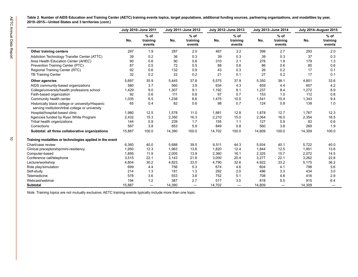|                                                                                                       |        | July 2010-June 2011          |        | July 2011-June 2012          |        | July 2012-June 2013          |        | July 2013-June 2014               |        | <b>July 2014-August 2015</b> |
|-------------------------------------------------------------------------------------------------------|--------|------------------------------|--------|------------------------------|--------|------------------------------|--------|-----------------------------------|--------|------------------------------|
|                                                                                                       | No.    | $%$ of<br>training<br>events | No.    | $%$ of<br>training<br>events | No.    | $%$ of<br>training<br>events | No.    | $%$ of<br>training<br>events      | No.    | $%$ of<br>training<br>events |
| Other training centers                                                                                | 297    | 1.9                          | 287    | 2.0                          | 467    | 3.2                          | 399    | 2.7                               | 293    | 2.0                          |
| Addiction Technology Transfer Center (ATTC)                                                           | 39     | 0.2                          | 36     | 0.3                          | 39     | 0.3                          | 39     | 0.3                               | 37     | 0.3                          |
| Area Health Education Center (AHEC)                                                                   | 90     | 0.6                          | 90     | 0.6                          | 310    | 2.1                          | 276    | 1.9                               | 179    | 1.3                          |
| Prevention Training Center (PTC)                                                                      | 87     | 0.5                          | 72     | 0.5                          | 88     | 0.6                          | 86     | 0.6                               | 80     | 0.6                          |
| Regional Training Center (RTC)                                                                        | 92     | 0.6                          | 132    | 0.9                          | 43     | 0.3                          | 26     | 0.2                               | 17     | 0.1                          |
| <b>TB Training Center</b>                                                                             | 32     | 0.2                          | 22     | 0.2                          | 21     | 0.1                          | 27     | 0.2                               | 17     | 0.1                          |
| Other agencies                                                                                        | 5,697  | 35.9                         | 5,445  | 37.8                         | 5,575  | 37.9                         | 5,350  | 36.1                              | 4,801  | 33.6                         |
| AIDS community-based organizations                                                                    | 580    | 3.7                          | 560    | 3.9                          | 634    | 4.3                          | 659    | 4.4                               | 607    | 4.2                          |
| College/university/health professions school                                                          | 1,429  | 9.0                          | 1,307  | 9.1                          | 1,192  | 8.1                          | 1,237  | 8.4                               | 1,272  | 8.9                          |
| Faith-based organization                                                                              | 92     | 0.6                          | 111    | 0.8                          | 97     | 0.7                          | 153    | 1.0                               | 112    | 0.8                          |
| Community health center                                                                               | 1,035  | 6.5                          | 1,238  | 8.6                          | 1,475  | 10.0                         | 1,541  | 10.4                              | 1,343  | 9.4                          |
| Historically black college or university/Hispanic<br>serving institution/tribal college or university | 65     | 0.4                          | 82     | 0.6                          | 98     | 0.7                          | 124    | 0.8                               | 139    | 1.0                          |
| Hospital/hospital-based clinic                                                                        | 1,980  | 12.5                         | 1,578  | 11.0                         | 1,881  | 12.8                         | 1,878  | 12.7                              | 1,767  | 12.3                         |
| Agencies funded by Ryan White Program                                                                 | 2,432  | 15.3                         | 2,350  | 16.3                         | 2,210  | 15.0                         | 2,364  | 16.0                              | 2,354  | 16.5                         |
| Tribal health organizations                                                                           | 144    | 0.9                          | 239    | 1.7                          | 155    | 1.1                          | 127    | 0.9                               | 83     | 0.6                          |
| Corrections                                                                                           | 597    | 3.8                          | 853    | 5.9                          | 849    | 5.8                          | 560    | 3.8                               | 269    | 1.9                          |
| Subtotal: all three collaborative organizations                                                       | 15,887 | 100.0                        | 14,390 | 100.0                        | 14,702 | 100.0                        | 14,809 | 100.0                             | 14,309 | 100.0                        |
| Training modalities or technologies applied in the event                                              |        |                              |        |                              |        |                              |        |                                   |        |                              |
| Chart/case review                                                                                     | 6,360  | 40.0                         | 5,688  | 39.5                         | 6,511  | 44.3                         | 5,934  | 40.1                              | 5,722  | 40.0                         |
| Clinical preceptorship/mini-residency                                                                 | 1,950  | 12.3                         | 1,963  | 13.6                         | 1,820  | 12.4                         | 1,844  | 12.5                              | 1,951  | 13.6                         |
| Computer-based                                                                                        | 1,895  | 11.9                         | 2,005  | 13.9                         | 2,360  | 16.1                         | 2,325  | 15.7                              | 2,072  | 14.5                         |
| Conference call/telephone                                                                             | 3,515  | 22.1                         | 3,143  | 21.8                         | 3,000  | 20.4                         | 3,277  | 22.1                              | 3,262  | 22.8                         |
| Lecture/workshop                                                                                      | 4,804  | 30.2                         | 4,823  | 33.5                         | 4,790  | 32.6                         | 4,922  | 33.2                              | 5,175  | 36.2                         |
| Role play/simulation                                                                                  | 699    | 4.4                          | 756    | 5.3                          | 674    | 4.6                          | 604    | 4.1                               | 798    | 5.6                          |
| Self-study                                                                                            | 214    | 1.3                          | 191    | 1.3                          | 292    | 2.0                          | 496    | 3.3                               | 434    | 3.0                          |
| Telemedicine                                                                                          | 578    | 3.6                          | 553    | 3.8                          | 752    | 5.1                          | 708    | 4.8                               | 416    | 2.9                          |
| Webcast/webinar                                                                                       | 194    | 1.2                          | 387    | 2.7                          | 517    | 3.5                          | 818    | 5.5                               | 915    | 6.4                          |
| <b>Subtotal</b>                                                                                       | 15,887 |                              | 14,390 | $\overline{\phantom{0}}$     | 14,702 | $\overline{\phantom{0}}$     | 14,809 | $\overbrace{\phantom{123221111}}$ | 14,309 |                              |

*Note*: Training topics are not mutually exclusive; AETC training events typically include more than one topic.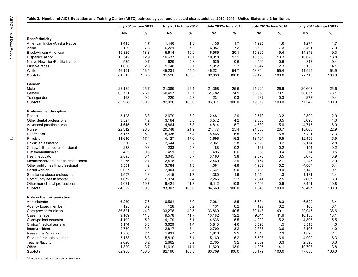|  | ole 3.  Number of AIDS Education and Training Center (AETC) trainees by year and selected characteristics, 2010–2015—United States and 3 territories |  |  |  |  |  |
|--|------------------------------------------------------------------------------------------------------------------------------------------------------|--|--|--|--|--|
|--|------------------------------------------------------------------------------------------------------------------------------------------------------|--|--|--|--|--|

|                                       |        | July 2010-June 2011 |        | July 2011-June 2012 |        | July 2012-June 2013 |        | July 2013-June 2014 | <b>July 2014-August 2015</b> |         |
|---------------------------------------|--------|---------------------|--------|---------------------|--------|---------------------|--------|---------------------|------------------------------|---------|
|                                       | No.    | $\%$                | No.    | %                   | No.    | %                   | No.    | %                   | No.                          | %       |
| Race/ethnicity                        |        |                     |        |                     |        |                     |        |                     |                              |         |
| American Indian/Alaska Native         | 1,413  | 1.7                 | 1,448  | 1.8                 | 1,438  | 1.7                 | 1,225  | 1.6                 | 1,277                        | 1.7     |
| Asian                                 | 6,109  | 7.5                 | 6,221  | 7.6                 | 6,057  | 7.3                 | 5,795  | 7.3                 | 5,401                        | 7.0     |
| Black/African American                | 15,325 | 18.8                | 15,614 | 19.2                | 16,565 | 20.1                | 15,365 | 19.4                | 14,842                       | 19.3    |
| Hispanic/Latino <sup>a</sup>          | 10,542 | 12.9                | 10,637 | 13.1                | 10,918 | 13.2                | 10,555 | 13.3                | 10,626                       | 13.8    |
| Native Hawaiian/Pacific Islander      | 535    | 0.7                 | 629    | 0.8                 | 525    | 0.6                 | 501    | 0.6                 | 313                          | 0.4     |
| Multiple races                        | 1,600  | 2.0                 | 1,748  | 2.1                 | 1,912  | 2.3                 | 1,842  | 2.3                 | 3,132                        | 4.1     |
| White                                 | 46,191 | 56.5                | 45,231 | 55.5                | 45,221 | 54.7                | 43,844 | 55.4                | 41,525                       | 53.9    |
| <b>Subtotal</b>                       | 81,715 | 100.0               | 81,526 | 100.0               | 82,636 | 100.0               | 79,126 | 100.0               | 77,116                       | 100.0   |
| Gender                                |        |                     |        |                     |        |                     |        |                     |                              |         |
| Male                                  | 22,129 | 26.7                | 21,389 | 26.1                | 21,358 | 25.6                | 21,229 | 26.6                | 20,608                       | 26.6    |
| Female                                | 60,701 | 73.1                | 60,417 | 73.7                | 61,782 | 74.1                | 58,353 | 73.1                | 56,657                       | 73.1    |
| Transgender                           | 168    | 0.2                 | 220    | 0.3                 | 231    | 0.3                 | 237    | 0.3                 | 278                          | 0.4     |
| <b>Subtotal</b>                       | 82,998 | 100.0               | 82,026 | 100.0               | 83,371 | 100.0               | 79,819 | 100.0               | 77,542                       | 100.0   |
| <b>Professional discipline</b>        |        |                     |        |                     |        |                     |        |                     |                              |         |
| Dentist                               | 3,198  | 3.8                 | 2,679  | 3.2                 | 2,481  | 2.9                 | 2,573  | 3.2                 | 2,309                        | 2.9     |
| Other dental professional             | 3,527  | 4.2                 | 3,164  | 3.8                 | 3,572  | 4.2                 | 2,860  | 3.5                 | 3,098                        | 4.0     |
| Advanced practice nurse               | 4,645  | 5.5                 | 4,864  | 5.8                 | 4,814  | 5.7                 | 4,530  | 5.6                 | 4,717                        | 6.0     |
| Nurse                                 | 22,342 | 26.5                | 20,748 | 24.9                | 21,477 | 25.4                | 21,633 | 26.7                | 18,008                       | 22.9    |
| Pharmacist                            | 5,187  | 6.2                 | 5,335  | 6.4                 | 5,466  | 6.5                 | 5,529  | 6.8                 | 5,711                        | 7.3     |
| Physician                             | 14,640 | 17.4                | 14,127 | 17.0                | 13,696 | 16.2                | 13,401 | 16.5                | 12,455                       | 15.9    |
| Physician assistant                   | 2,550  | 3.0                 | 2,644  | 3.2                 | 2,361  | 2.8                 | 2,598  | 3.2                 | 2,174                        | 2.8     |
| Clergy/faith-based professional       | 238    | 0.3                 | 233    | 0.3                 | 188    | 0.2                 | 167    | 0.2                 | 154                          | 0.2     |
| Dietitian/nutritionist                | 435    | 0.5                 | 451    | $0.5\,$             | 495    | 0.6                 | 350    | 0.4                 | 374                          | $0.5\,$ |
| Health educator                       | 2,895  | 3.4                 | 3,045  | 3.7                 | 3,180  | 3.8                 | 2,870  | 3.5                 | 3,070                        | 3.9     |
| Mental/behavioral health professional | 2,265  | 2.7                 | 2,418  | 2.9                 | 2,460  | 2.9                 | 2,157  | 2.7                 | 2,245                        | 2.9     |
| Other public health professional      | 3,531  | 4.2                 | 3,784  | 4.5                 | 4,081  | 4.8                 | 4,232  | $5.2\,$             | 4,807                        | 6.1     |
| Social worker                         | 6,667  | 7.9                 | 7,004  | 8.4                 | 7,641  | 9.0                 | 6,485  | 8.0                 | 7,146                        | 9.1     |
| Substance abuse professional          | 1,507  | 1.8                 | 1,415  | 1.7                 | 1,380  | 1.6                 | 1,014  | 1.3                 | 1,131                        | 1.4     |
| Community health worker               | 1,672  | 2.0                 | 1,974  | 2.4                 | 2,265  | 2.7                 | 2,044  | 2.5                 | 2,607                        | 3.3     |
| Other non-clinical professional       | 9,021  | 10.7                | 9,421  | 11.3                | 9,112  | 10.8                | 8,596  | 10.6                | 8,491                        | 10.8    |
| Subtotal                              | 84,322 | 100.0               | 83,307 | 100.0               | 84,669 | 100.0               | 81,040 | 100.0               | 78,497                       | 100.0   |
| Role in their organization            |        |                     |        |                     |        |                     |        |                     |                              |         |
| Administrator                         | 6,289  | 7.6                 | 6,561  | 8.0                 | 7,081  | 8.5                 | 6,634  | 8.3                 | 6,522                        | 8.4     |
| Agency board member                   | 125    | 0.2                 | 128    | 0.2                 | 131    | 0.2                 | 122    | 0.2                 | 103                          | 0.1     |
| Care provider/clinician               | 36,521 | 44.0                | 33,276 | 40.5                | 33,860 | 40.5                | 32,148 | 40.1                | 29,945                       | 38.6    |
| Case manager                          | 9,109  | 11.0                | 9,578  | 11.7                | 10,182 | 12.2                | 9,311  | 11.6                | 10,135                       | 13.1    |
| Client/patient educator               | 4,102  | $5.0$               | 4,179  | 5.1                 | 4,636  | $5.5\,$             | 4,200  | $5.2\,$             | 4,306                        | $5.5\,$ |
| Clinical/medical assistant            | 3,174  | 3.8                 | 3,629  | 4.4                 | 3,813  | 4.6                 | 3,598  | 4.5                 | 3,513                        | 4.5     |
| Intern/resident                       | 2,730  | 3.3                 | 2,817  | 3.4                 | 2,702  | 3.2                 | 2,886  | 3.6                 | 3,106                        | 4.0     |
| Researcher/evaluator                  | 1,756  | 2.1                 | 1,931  | 2.4                 | 1,810  | $2.2\,$             | 1,818  | 2.3                 | 1,826                        | 2.4     |
| Student/graduate student              | 5,183  | 6.3                 | 5,810  | 7.1                 | 5,169  | 6.2                 | 5,508  | 6.9                 | 4,900                        | 6.3     |
| Teacher/faculty                       | 2,620  | $3.2\,$             | 2,662  | $3.2\,$             | 2,705  | 3.2                 | 2,659  | 3.3                 | 2,595                        | 3.3     |
| Other                                 | 11,329 | 13.7                | 11,619 | 14.1                | 11,620 | 13.9                | 11,295 | 14.1                | 10,708                       | 13.8    |
| Subtotal                              | 82,938 | 100.0               | 82,190 | 100.0               | 83,709 | 100.0               | 80,179 | 100.0               | 77,658                       | 100.0   |

a Hispanics/Latinos can be of any race.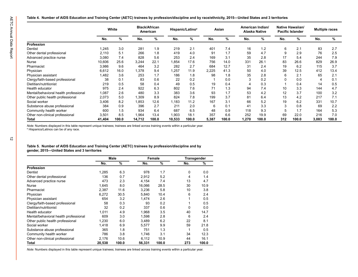|                                       | White  |       |        | <b>Black/African</b><br>American |        | Hispanic/Latino <sup>a</sup> |       | Asian |       | American Indian/<br>Alaska Native |     | Native Hawaiian/<br><b>Pacific Islander</b> | <b>Multiple races</b> |       |
|---------------------------------------|--------|-------|--------|----------------------------------|--------|------------------------------|-------|-------|-------|-----------------------------------|-----|---------------------------------------------|-----------------------|-------|
|                                       | No.    | ℅     | No.    | ℅                                | No.    | %                            | No.   | %     | No.   | %                                 | No. | %                                           | No.                   |       |
| Profession                            |        |       |        |                                  |        |                              |       |       |       |                                   |     |                                             |                       |       |
| Dentist                               | 1.245  | 3.0   | 281    | 1.9                              | 219    | 2.1                          | 401   | 7.4   | 16    | 1.2                               | 6   | 2.1                                         | 83                    |       |
| Other dental professional             | 2,110  | 5.1   | 266    | 1.8                              | 419    | 4.0                          | 91    | 1.7   | 59    | 4.7                               | 9   | 2.9                                         | 76                    |       |
| Advanced practice nurse               | 3,080  | 7.4   | 828    | 5.6                              | 253    | 2.4                          | 169   | 3.1   | 35    | 2.8                               | 17  | 5.4                                         | 244                   |       |
| Nurse                                 | 10,606 | 25.6  | 3,244  | 22.1                             | 1,854  | 17.6                         | 756   | 14.0  | 331   | 26.1                              | 83  | 26.6                                        | 829                   | 26.9  |
| Pharmacist                            | 3,986  | 9.6   | 464    | 3.2                              | 282    | 2.7                          | 684   | 12.7  | 31    | 2.4                               | 19  | 6.2                                         | 115                   |       |
| Physician                             | 6,612  | 16.0  | 1.378  | 9.4                              | 1,257  | 11.9                         | 2,225 | 41.3  | 50    | 4.0                               | 39  | 12.5                                        | 412                   | 13.4  |
| Physician assistant                   | 1,482  | 3.6   | 253    | 1.7                              | 186    | 1.8                          | 98    | 1.8   | 35    | 2.8                               | 6   | 2.1                                         | 65                    |       |
| Clergy/faith-based professional       | 38     | 0.1   | 83     | 0.6                              | 22     | 0.2                          |       | 0.0   | 3     | 0.2                               | O   | 0.0                                         |                       |       |
| Dietitian/nutritionist                | 219    | 0.5   | 58     | 0.4                              | 49     | 0.5                          | 19    | 0.4   |       | 0.3                               |     | 0.4                                         | 14                    |       |
| Health educator                       | 975    | 2.4   | 922    | 6.3                              | 802    | 7.6                          | 71    | 1.3   | 94    | 7.4                               | 10  | 3.3                                         | 144                   |       |
| Mental/behavioral health professional | 1,087  | 2.6   | 480    | 3.3                              | 383    | 3.6                          | 93    | 1.7   | 53    | 4.2                               | 12  | 3.7                                         | 100                   |       |
| Other public health professional      | 2,073  | 5.0   | 1,309  | 8.9                              | 824    | 7.8                          | 199   | 3.7   | 81    | 6.4                               | 13  | 4.2                                         | 217                   |       |
| Social worker                         | 3,406  | 8.2   | 1,853  | 12.6                             | 1,183  | 11.2                         | 167   | 3.1   | 66    | 5.2                               | 19  | 6.2                                         | 331                   | 10.7  |
| Substance abuse professional          | 384    | 0.9   | 396    | 2.7                              | 211    | 2.0                          | 6     | 0.1   | 41    | 3.3                               | 3   | 0.8                                         | 69                    |       |
| Community health worker               | 600    | 1.5   | 934    | 6.4                              | 687    | 6.5                          | 48    | 0.9   | 118   | 9.3                               | 5   | 1.7                                         | 164                   |       |
| Other non-clinical professional       | 3,501  | 8.5   | 1,964  | 13.4                             | 1,903  | 18.1                         | 357   | 6.6   | 252   | 19.9                              | 69  | 22.0                                        | 216                   |       |
| Total                                 | 41,404 | 100.0 | 14,712 | 100.0                            | 10,533 | 100.0                        | 5,387 | 100.0 | 1,270 | 100.0                             | 312 | 100.0                                       | 3,083                 | 100.0 |

**Table 5. Number of AIDS Education and Training Center (AETC) trainees by profession/discipline and by gender, 2015—United States and 3 territories** 

|                                       |        | Male  |        | Female |     | Transgender |
|---------------------------------------|--------|-------|--------|--------|-----|-------------|
|                                       | No.    | %     | No.    | %      | No. | %           |
| Profession                            |        |       |        |        |     |             |
| Dentist                               | 1,285  | 6.3   | 978    | 1.7    | 0   | 0.0         |
| Other dental professional             | 136    | 0.7   | 2.912  | 5.2    | 4   | 1.4         |
| Advanced practice nurse               | 473    | 2.3   | 4.154  | 7.4    | 13  | 4.7         |
| <b>Nurse</b>                          | 1,645  | 8.0   | 16,066 | 28.5   | 30  | 10.9        |
| Pharmacist                            | 2,387  | 11.6  | 3,236  | 5.8    | 10  | 3.8         |
| Physician                             | 6,272  | 30.5  | 5,840  | 10.4   | 6   | 2.4         |
| Physician assistant                   | 654    | 3.2   | 1.474  | 2.6    |     | 0.5         |
| Clergy/faith-based professional       | 58     | 0.3   | 93     | 0.2    |     | 0.5         |
| Dietitian/nutritionist                | 32     | 0.2   | 337    | 0.6    | 0   | 0.0         |
| Health educator                       | 1,011  | 4.9   | 1,968  | 3.5    | 40  | 14.7        |
| Mental/behavioral health professional | 609    | 3.0   | 1,598  | 2.8    | 6   | 2.4         |
| Other public health professional      | 1,230  | 6.0   | 3,489  | 6.2    | 22  | 8.1         |
| Social worker                         | 1,418  | 6.9   | 5,577  | 9.9    | 59  | 21.8        |
| Substance abuse professional          | 365    | 1.8   | 751    | 1.3    | 1   | 0.5         |
| Community health worker               | 786    | 3.8   | 1,746  | 3.1    | 34  | 12.3        |
| Other non-clinical professional       | 2,176  | 10.6  | 6,112  | 10.9   | 44  | 16.1        |
| Total                                 | 20,538 | 100.0 | 56,331 | 100.0  | 273 | 100.0       |

*Note:* Numbers displayed in this table represent unique trainees; trainees are linked across training events within a particular year.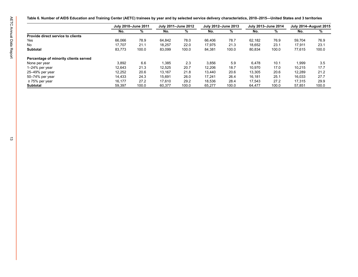|                                       |        | July 2010-June 2011 |        | July 2011-June 2012 | July 2012-June 2013 |       |        | July 2013-June 2014 | <b>July 2014-August 2015</b> |       |
|---------------------------------------|--------|---------------------|--------|---------------------|---------------------|-------|--------|---------------------|------------------------------|-------|
|                                       | No.    | %                   | No.    | %                   | No.                 | %     | No.    | %                   | No.                          | %     |
| Provide direct service to clients     |        |                     |        |                     |                     |       |        |                     |                              |       |
| Yes                                   | 66,066 | 78.9                | 64,842 | 78.0                | 66,406              | 78.7  | 62,182 | 76.9                | 59,704                       | 76.9  |
| No                                    | 17,707 | 21.1                | 18,257 | 22.0                | 17,975              | 21.3  | 18,652 | 23.1                | 17,911                       | 23.1  |
| Subtotal                              | 83,773 | 100.0               | 83,099 | 100.0               | 84,381              | 100.0 | 80,834 | 100.0               | 77,615                       | 100.0 |
| Percentage of minority clients served |        |                     |        |                     |                     |       |        |                     |                              |       |
| None per year                         | 3,892  | 6.6                 | 1,385  | 2.3                 | 3,856               | 5.9   | 6,478  | 10.1                | 1,999                        | 3.5   |
| 1-24% per year                        | 12,643 | 21.3                | 12,525 | 20.7                | 12,206              | 18.7  | 10,970 | 17.0                | 10,215                       | 17.7  |
| 25–49% per year                       | 12,252 | 20.6                | 13,167 | 21.8                | 13,440              | 20.6  | 13,305 | 20.6                | 12,289                       | 21.2  |
| 50-74% per year                       | 14,433 | 24.3                | 15,691 | 26.0                | 17,241              | 26.4  | 16,181 | 25.1                | 16,033                       | 27.7  |
| $\geq$ 75% per year                   | 16,177 | 27.2                | 17,610 | 29.2                | 18,536              | 28.4  | 17,543 | 27.2                | 17,315                       | 29.9  |
| Subtotal                              | 59,397 | 100.0               | 60,377 | 100.0               | 65,277              | 100.0 | 64,477 | 100.0               | 57,851                       | 100.0 |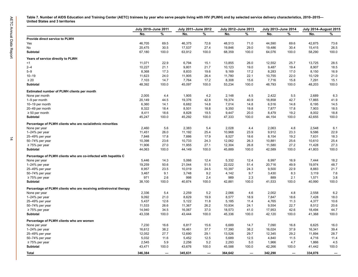|                                                                     | July 2010-June 2011 |       | July 2011-June 2012 |       | July 2012-June 2013 |       | July 2013-June 2014 |       | <b>July 2014-August 2015</b> |       |
|---------------------------------------------------------------------|---------------------|-------|---------------------|-------|---------------------|-------|---------------------|-------|------------------------------|-------|
|                                                                     | No.                 | ℅     | No.                 | %     | No.                 | %     | No.                 | %     | No.                          | %     |
| Provide direct service to PLWH                                      |                     |       |                     |       |                     |       |                     |       |                              |       |
| Yes                                                                 | 46,705              | 69.5  | 46,375              | 72.6  | 48,513              | 71.0  | 44,590              | 69.6  | 42,875                       | 73.6  |
| No                                                                  | 20,475              | 30.5  | 17,537              | 27.4  | 19,846              | 29.0  | 19,486              | 30.4  | 15,415                       | 26.5  |
| Subtotal                                                            | 67,180              | 100.0 | 63,912              | 100.0 | 68,359              | 100.0 | 64,076              | 100.0 | 58,290                       | 100.0 |
| Years of service directly to PLWH                                   |                     |       |                     |       |                     |       |                     |       |                              |       |
| $<$ 1                                                               | 11,071              | 22.9  | 6,794               | 15.1  | 13,855              | 26.0  | 12,552              | 25.7  | 13,725                       | 28.5  |
| $2 - 4$                                                             | 10,227              | 21.1  | 9,801               | 21.7  | 10,123              | 19.0  | 9,487               | 19.4  | 8,907                        | 18.5  |
| $5 - 9$                                                             | 8,368               | 17.3  | 8,833               | 19.6  | 9,169               | 17.2  | 8,283               | 17.0  | 8,150                        | 16.9  |
| $10 - 19$                                                           | 11,623              | 24.0  | 11,905              | 26.4  | 11,780              | 22.1  | 10,755              | 22.0  | 10,129                       | 21.0  |
| $\geq 20$                                                           | 7,103               | 14.7  | 7,764               | 17.2  | 8,308               | 15.6  | 7,716               | 15.8  | 7,291                        | 15.1  |
| Subtotal                                                            | 48,392              | 100.0 | 45,097              | 100.0 | 53,234              | 100.0 | 48,793              | 100.0 | 48,203                       | 100.0 |
| Estimated number of PLWH clients per month                          |                     |       |                     |       |                     |       |                     |       |                              |       |
| None per month                                                      | 2,005               | 4.4   | 1,905               | 4.2   | 2,148               | 4.5   | 2,422               | 5.5   | 2,689                        | 6.3   |
| 1-9 per month                                                       | 20,149              | 44.5  | 19,376              | 42.8  | 19,374              | 40.9  | 18,858              | 42.7  | 17,865                       | 41.9  |
| 10-19 per month                                                     | 6,360               | 14.1  | 6,682               | 14.8  | 7,014               | 14.8  | 6,516               | 14.8  | 6,195                        | 14.5  |
| 20-49 per month                                                     | 8,322               | 18.4  | 8,501               | 18.8  | 9,350               | 19.8  | 7,877               | 17.8  | 7,903                        | 18.5  |
| $\geq 50$ per month                                                 | 8,411               | 18.6  | 8,828               | 19.5  | 9,447               | 20.0  | 8,479               | 19.2  | 8,002                        | 18.8  |
| Subtotal                                                            | 45,247              | 100.0 | 45,292              | 100.0 | 47,333              | 100.0 | 44,154              | 100.0 | 42,655                       | 100.0 |
| Percentage of PLWH clients who are racial/ethnic minorities         |                     |       |                     |       |                     |       |                     |       |                              |       |
| None per year                                                       | 2,460               | 5.6   | 2,383               | 5.4   | 2,028               | 4.4   | 2,063               | 4.8   | 2,548                        | 6.1   |
| 1-24% per year                                                      | 11,451              | 26.0  | 11,192              | 25.4  | 10,968              | 23.9  | 9,912               | 23.3  | 9,586                        | 22.9  |
| 25-49% per year                                                     | 7,848               | 17.8  | 7,886               | 17.9  | 8,527               | 18.6  | 8,154               | 19.2  | 7,631                        | 18.3  |
| 50-74% per year                                                     | 10,398              | 23.6  | 10,733              | 24.3  | 12,062              | 26.3  | 10,881              | 25.6  | 10,610                       | 25.4  |
| $\geq$ 75% per year                                                 | 11,906              | 27.0  | 11,955              | 27.1  | 12,304              | 26.8  | 11,580              | 27.2  | 11,428                       | 27.3  |
| Subtotal                                                            | 44,063              | 100.0 | 44,149              | 100.0 | 45,889              | 100.0 | 42,589              | 100.0 | 41,803                       | 100.0 |
| Percentage of PLWH clients who are co-infected with hepatitis C     |                     |       |                     |       |                     |       |                     |       |                              |       |
| None per year                                                       | 5,446               | 14.3  | 5,066               | 12.4  | 5,332               | 12.4  | 6,997               | 16.9  | 7,444                        | 18.2  |
| 1-24% per year                                                      | 19,259              | 50.6  | 21,044              | 51.5  | 22,022              | 51.4  | 20,716              | 49.9  | 19,974                       | 48.7  |
| 25-49% per year                                                     | 8,957               | 23.5  | 10,019              | 24.5  | 10,397              | 24.3  | 9,500               | 22.9  | 8,883                        | 21.7  |
| 50-74% per year                                                     | 3,467               | 9.1   | 3,748               | 9.2   | 4,142               | 9.7   | 3,430               | 8.3   | 3,119                        | 7.6   |
| $\geq$ 75% per year                                                 | 971                 | 2.6   | 998                 | 2.4   | 989                 | 2.3   | 889                 | 2.1   | 1,571                        | 3.8   |
| Subtotal                                                            | 38,100              | 100.0 | 40,874              | 100.0 | 42,881              | 100.0 | 41,533              | 100.0 | 40,990                       | 100.0 |
| Percentage of PLWH clients who are receiving antiretroviral therapy |                     |       |                     |       |                     |       |                     |       |                              |       |
| None per year                                                       | 2,336               | 5.4   | 2,259               | 5.2   | 2,066               | 4.6   | 2,002               | 4.8   | 2,558                        | 6.2   |
| 1-24% per year                                                      | 9,092               | 21.0  | 8,629               | 19.9  | 8,577               | 18.9  | 7,847               | 18.6  | 7,428                        | 18.0  |
| 25-49% per year                                                     | 5,437               | 12.6  | 5,122               | 11.8  | 5,185               | 11.4  | 4,765               | 11.3  | 4,377                        | 10.6  |
| 50-74% per year                                                     | 11,533              | 26.6  | 11,367              | 26.2  | 10,934              | 24.1  | 9,554               | 22.7  | 8,512                        | 20.6  |
| $\geq$ 75% per year                                                 | 14,940              | 34.5  | 16,067              | 37.0  | 18,573              | 41.0  | 17,953              | 42.6  | 18,494                       | 44.7  |
| Subtotal                                                            | 43,338              | 100.0 | 43,444              | 100.0 | 45,336              | 100.0 | 42,120              | 100.0 | 41,368                       | 100.0 |
| Percentage of PLWH clients who are women                            |                     |       |                     |       |                     |       |                     |       |                              |       |
| None per year                                                       | 7,230               | 16.6  | 6,817               | 15.6  | 6,689               | 14.7  | 7,090               | 16.8  | 6,625                        | 16.0  |
| 1-24% per year                                                      | 16,612              | 38.2  | 16,461              | 37.7  | 17,390              | 38.2  | 16,024              | 37.9  | 16,341                       | 39.4  |
| 25-49% per year                                                     | 12,052              | 27.7  | 12,690              | 29.1  | 13,526              | 29.7  | 12,345              | 29.2  | 11,894                       | 28.7  |
| 50-74% per year                                                     | 5,032               | 11.6  | 5,452               | 12.5  | 5,689               | 12.5  | 4,840               | 11.5  | 4,716                        | 11.4  |
| $\geq$ 75% per year                                                 | 2,545               | 5.9   | 2,256               | 5.2   | 2,293               | 5.0   | 1,966               | 4.7   | 1,866                        | 4.5   |
|                                                                     |                     |       |                     |       |                     |       |                     |       |                              |       |
| Subtotal                                                            | 43,471              | 100.0 | 43,676              | 100.0 | 45,588              | 100.0 | 42,266              | 100.0 | 41,442                       | 100.0 |